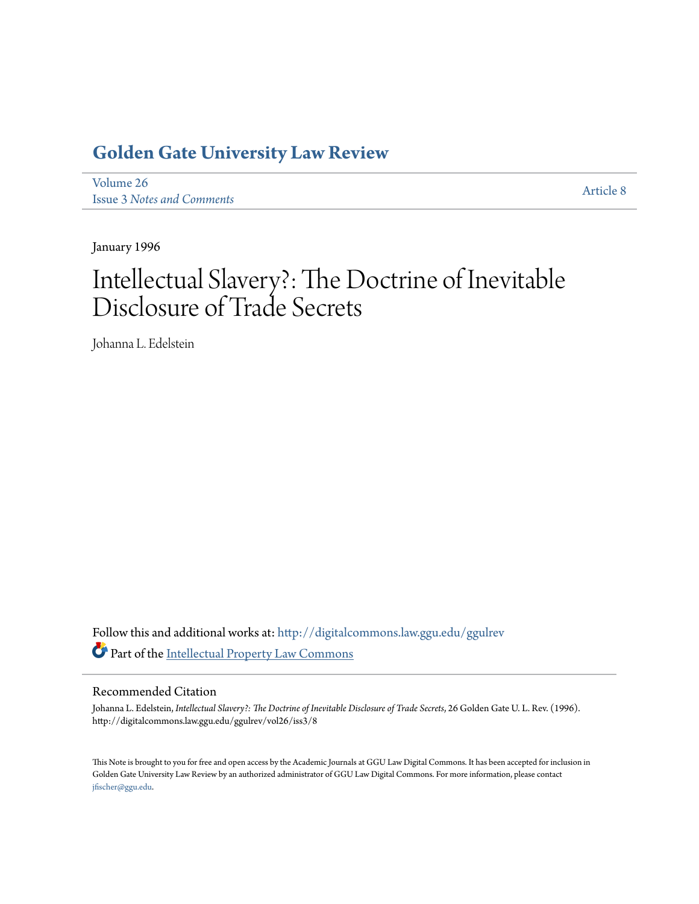## **[Golden Gate University Law Review](http://digitalcommons.law.ggu.edu/ggulrev?utm_source=digitalcommons.law.ggu.edu%2Fggulrev%2Fvol26%2Fiss3%2F8&utm_medium=PDF&utm_campaign=PDFCoverPages)**

[Volume 26](http://digitalcommons.law.ggu.edu/ggulrev/vol26?utm_source=digitalcommons.law.ggu.edu%2Fggulrev%2Fvol26%2Fiss3%2F8&utm_medium=PDF&utm_campaign=PDFCoverPages) Issue 3 *[Notes and Comments](http://digitalcommons.law.ggu.edu/ggulrev/vol26/iss3?utm_source=digitalcommons.law.ggu.edu%2Fggulrev%2Fvol26%2Fiss3%2F8&utm_medium=PDF&utm_campaign=PDFCoverPages)*

[Article 8](http://digitalcommons.law.ggu.edu/ggulrev/vol26/iss3/8?utm_source=digitalcommons.law.ggu.edu%2Fggulrev%2Fvol26%2Fiss3%2F8&utm_medium=PDF&utm_campaign=PDFCoverPages)

January 1996

# Intellectual Slavery?: The Doctrine of Inevitable Disclosure of Trade Secrets

Johanna L. Edelstein

Follow this and additional works at: [http://digitalcommons.law.ggu.edu/ggulrev](http://digitalcommons.law.ggu.edu/ggulrev?utm_source=digitalcommons.law.ggu.edu%2Fggulrev%2Fvol26%2Fiss3%2F8&utm_medium=PDF&utm_campaign=PDFCoverPages) Part of the [Intellectual Property Law Commons](http://network.bepress.com/hgg/discipline/896?utm_source=digitalcommons.law.ggu.edu%2Fggulrev%2Fvol26%2Fiss3%2F8&utm_medium=PDF&utm_campaign=PDFCoverPages)

#### Recommended Citation

Johanna L. Edelstein, *Intellectual Slavery?: The Doctrine of Inevitable Disclosure of Trade Secrets*, 26 Golden Gate U. L. Rev. (1996). http://digitalcommons.law.ggu.edu/ggulrev/vol26/iss3/8

This Note is brought to you for free and open access by the Academic Journals at GGU Law Digital Commons. It has been accepted for inclusion in Golden Gate University Law Review by an authorized administrator of GGU Law Digital Commons. For more information, please contact [jfischer@ggu.edu](mailto:jfischer@ggu.edu).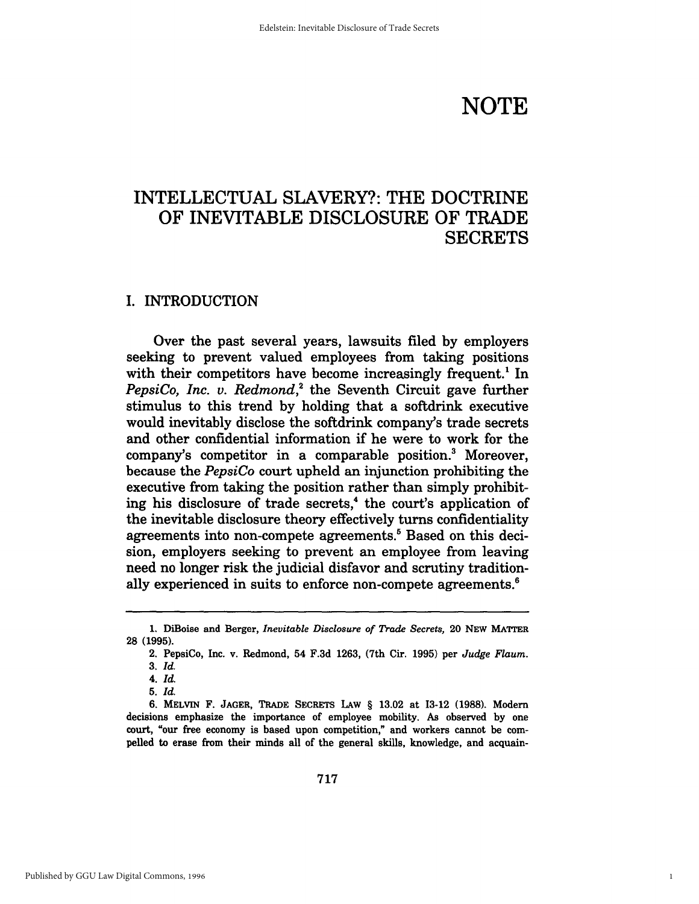# **NOTE**

1

### INTELLECTUAL SLAVERY?: THE DOCTRINE OF INEVITABLE DISCLOSURE OF TRADE **SECRETS**

#### I. INTRODUCTION

Over the past several years, lawsuits filed by employers seeking to prevent valued employees from taking positions with their competitors have become increasingly frequent.<sup>1</sup> In *PepsiCo, Inc. v. Redmond*,<sup>2</sup> the Seventh Circuit gave further stimulus to this trend by holding that a softdrink executive would inevitably disclose the softdrink company's trade secrets and other confidential information if he were to work for the company's competitor in a comparable position.3 Moreover, because the *PepsiCo* court upheld an injunction prohibiting the executive from taking the position rather than simply prohibiting his disclosure of trade secrets,<sup>4</sup> the court's application of the inevitable disclosure theory effectively turns confidentiality agreements into non-compete agreements.<sup>5</sup> Based on this decision, employers seeking to prevent an employee from leaving need no longer risk the judicial disfavor and scrutiny traditionally experienced in suits to enforce non-compete agreements.<sup>6</sup>

<sup>1.</sup> DiBoise and Berger, *Inevitable Disclosure of Trade Secrets,* 20 NEW MATTER 28 (1995).

<sup>2.</sup> PepsiCo, Inc. v. Redmond, 54 F.3d 1263, (7th Cir. 1995) per *Judge Flaum.* 

*<sup>3.</sup> Id.* 

*<sup>4.</sup>Id. 5. Id.* 

<sup>6.</sup> MELVIN F. JAGER, TRADE SECRETS LAw § 13.02 at 13-12 (1988). Modern decisions emphasize the importance of employee mobility. As observed by one court, "our free economy is based upon competition," and workers cannot be compelled to erase from their minds all of the general skills, knowledge, and acquain-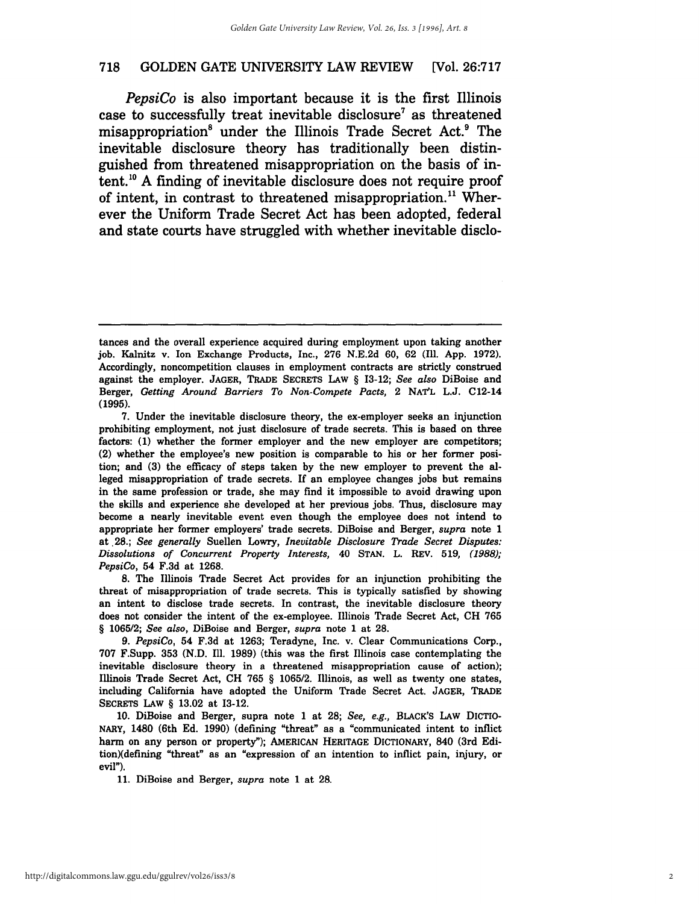*PepsiCo* is also important because it is the first Illinois case to successfully treat inevitable disclosure<sup>7</sup> as threatened misappropriation<sup>8</sup> under the Illinois Trade Secret Act.<sup>9</sup> The inevitable disclosure theory has traditionally been distinguished from threatened misappropriation on the basis of in $t$ ent.<sup>10</sup> A finding of inevitable disclosure does not require proof of intent, in contrast to threatened misappropriation.<sup>11</sup> Wherever the Uniform Trade Secret Act has been adopted, federal and state courts have struggled with whether inevitable disclo-

8. The Illinois Trade Secret Act provides for an injunction prohibiting the threat of misappropriation of trade secrets. This is typically satisfied by showing an intent to disclose trade secrets. In contrast, the inevitable disclosure theory does not consider the intent of the ex-employee. Illinois Trade Secret Act, CH 765 § 1065/2; *See also,* DiBoise and Berger, *supra* note 1 at 28.

*9. PepsiCo,* 54 F.3d at 1263; Teradyne, Inc. v. Clear Communications Corp., 707 F.Supp. 353 (N.D. Ill. 1989) (this was the first Illinois case contemplating the inevitable disclosure theory in a threatened misappropriation cause of action); Illinois Trade Secret Act, CH 765 § 1065/2. Illinois, as well as twenty one states, including California have adopted the Unifonn Trade Secret Act. JAGER, TRADE SECRETS LAw § 13.02 at 13-12.

10. DiBoise and Berger, supra note 1 at 28; *See, e.g.,* BLACK'S LAw DICTIO-NARY, 1480 (6th Ed. 1990) (defining "threat" as a "communicated intent to inflict harm on any person or property"); AMERICAN HERITAGE DICTIONARY, 840 (3rd Edition)(defining "threat" as an "expression of an intention to inflict pain, injury, or evil").

11. DiBoise and Berger, *supra* note 1 at 28.

tances and the overall experience acquired during employment upon taking another job. Kalnitz v. Ion Exchange Products, Inc., 276 N.E.2d 60, 62 (Ill. App. 1972). Accordingly, noncompetition clauses in employment contracts are strictly construed against the employer. JAGER, TRADE SECRETS LAw § 13-12; *See also* DiBoise and Berger, *Getting Around Barriers To Non-Compete Pacts,* 2 NATL L.J. C12-14 (1995).

<sup>7.</sup> Under the inevitable disclosure theory, the ex-employer seeks an injunction prohibiting employment, not just disclosure of trade secrets. This is based on three factors: (1) whether the former employer and the new employer are competitors; (2) whether the employee's new position is comparable to his or her fonner position; and (3) the efficacy of steps taken by the new employer to prevent the alleged misappropriation of trade secrets. If an employee changes jobs but remains in the same profession or trade, she may find it impossible to avoid drawing upon the skills and experience she developed at her previous jobs. Thus, disclosure may become a nearly inevitable event even though the employee does not intend to appropriate her fonner employers' trade secrets. DiBoise and Berger, *supra* note 1 at ,28.; *See generally* Suellen Lowry, *Inevitable Disclosure Trade Secret Disputes: Dissolutions of Concurrent Property Interests,* 40 STAN. L. REV. 519, (1988); *PepsiCo,* 54 F.3d at 1268.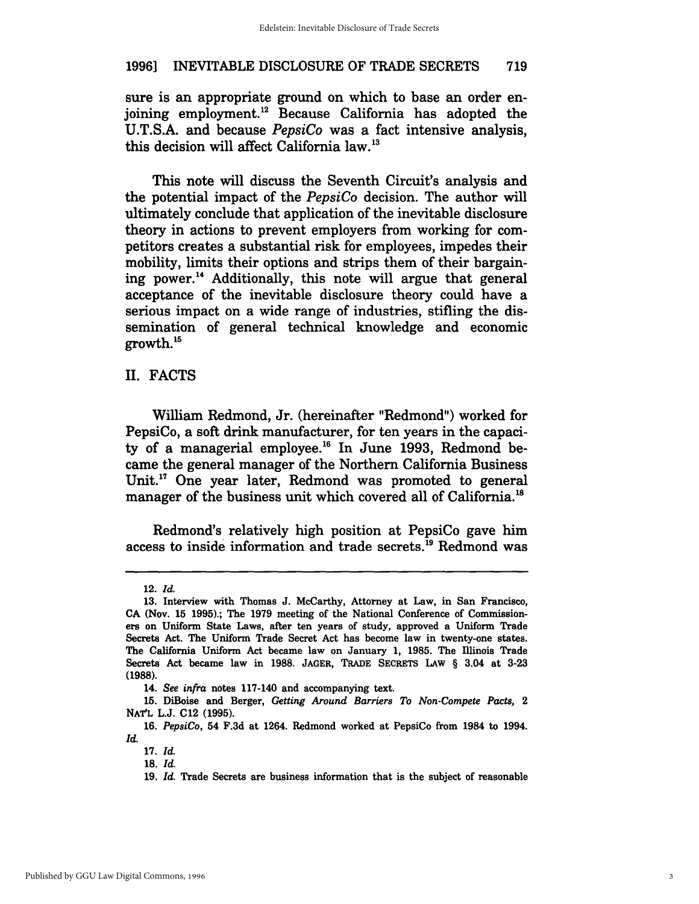sure is an appropriate ground on which to base an order enjoining employment. 12 Because California has adopted the *V.T.S.A.* and because *PepsiCo* was a fact intensive analysis, this decision will affect California law.<sup>13</sup>

This note will discuss the Seventh Circuit's analysis and the potential impact of the *PepsiCo* decision. The author will ultimately conclude that application of the inevitable disclosure theory in actions to prevent employers from working for competitors creates a substantial risk for employees, impedes their mobility, limits their options and strips them of their bargaining power. 14 Additionally, this note will argue that general acceptance of the inevitable disclosure theory could have a serious impact on a wide range of industries, stifling the dissemination of general technical knowledge and economic growth. 15

#### II. FACTS

William Redmond, Jr. (hereinafter "Redmond") worked for PepsiCo, a soft drink manufacturer, for ten years in the capacity of a managerial employee.<sup>16</sup> In June 1993, Redmond became the general manager of the Northern California Business Unit. $^{17}$  One year later, Redmond was promoted to general manager of the business unit which covered all of California.<sup>18</sup>

Redmond's relatively high position at PepsiCo gave him access to inside information and trade secrets.<sup>19</sup> Redmond was

<sup>12.</sup> Id.

<sup>13.</sup> Interview with Thomas J. McCarthy, Attorney at Law, in San Francisco, CA (Nov. 15 1995).; The 1979 meeting of the National Conference of Commissioners on Uniform State Laws, after ten years of study, approved a Uniform Trade Secrets Act. The Uniform Trade Secret Act has become law in twenty-one states. The California Uniform Act became law on January 1, 1985. The Illinois Trade Secrets Act became law in 1988. JAGER, TRADE SECRETS LAw § 3.04 at 3-23 (1988).

*<sup>14.</sup> See infra* notes 117-140 and accompanying text.

<sup>15.</sup> DiBoise and Berger, *Getting Around Barriers To Non·Compete Pacts, 2*  NAT'L L.J. C12 (1995).

*<sup>16.</sup> PepsiCo,* 54 F.3d at 1264. Redmond worked at PepsiCo from 1984 to 1994. Id.

<sup>17. [</sup>d.

<sup>18. [</sup>d.

<sup>19.</sup> Id. Trade Secrets are business information that is the subject of reasonable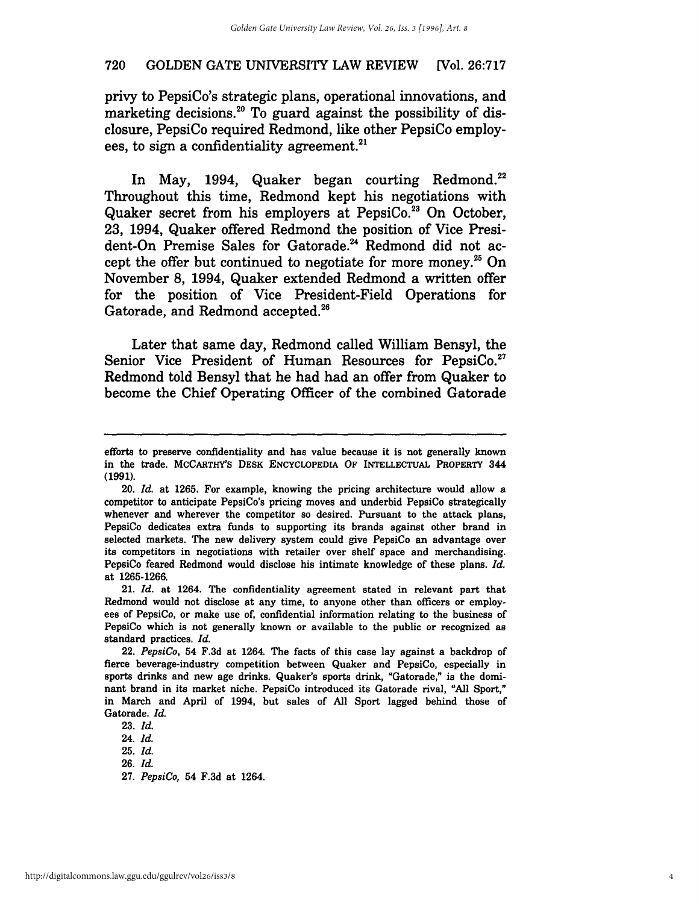privy to PepsiCo's strategic plans, operational innovations, and marketing decisions.<sup>20</sup> To guard against the possibility of disclosure, PepsiCo required Redmond, like other PepsiCo employees, to sign a confidentiality agreement. $^{21}$ 

In May, 1994, Quaker began courting Redmond.<sup>22</sup> Throughout this time, Redmond kept his negotiations with Quaker secret from his employers at PepsiCo. $^{23}$  On October, 23, 1994, Quaker offered Redmond the position of Vice President-On Premise Sales for Gatorade.<sup>24</sup> Redmond did not accept the offer but continued to negotiate for more money.<sup>25</sup> On November 8, 1994, Quaker extended Redmond a written offer for the position of Vice President-Field Operations for Gatorade, and Redmond accepted.<sup>26</sup>

Later that same day, Redmond called William Bensyl, the Senior Vice President of Human Resources for PepsiCo.<sup>27</sup> Redmond told Bensyl that he had had an offer from Quaker to become the Chief Operating Officer of the combined Gatorade

21. [d. at 1264. The confidentiality agreement stated in relevant part that Redmond would not disclose at any time, to anyone other than officers or employees of PepsiCo, or make use of, confidential information relating to the business of PepsiCo which is not generally known or available to the public or recognized as standard practices. Id.

*22. PepsiCo,* 54 F.3d at 1264. The facts of this case lay against a backdrop of fierce beverage-industry competition between Quaker and PepsiCo, especially in sports drinks and new age drinks. Quaker's sports drink, "Gatorade," is the dominant brand in its market niche. PepsiCo introduced its Gatorade rival, "All Sport," in March and April of 1994, but sales of All Sport lagged behind those of Gatorade. Id.

23. [d. *24. [d. 25. [d.*  26. [d.

*27. PepsiCo,* 54 F.3d at 1264.

efforts to preserve confidentiality and has value because it is not generally known in the trade. MCCARTHY'S DESK ENCYCLOPEDIA OF INTELLECTUAL PROPERTY 344 (1991).

*<sup>20.</sup> Id.* at 1265. For example, knowing the pricing architecture would allow a competitor to anticipate PepsiCo's pricing moves and underbid PepsiCo strategically whenever and wherever the competitor so desired. Pursuant to the attack plans, PepsiCo dedicates extra funds to supporting its brands against other brand in selected markets. The new delivery system could give PepsiCo an advantage over its competitors in negotiations with retailer over shelf space and merchandising. PepsiCo feared Redmond would disclose his intimate knowledge of these plans. *Id.*  at 1265-1266.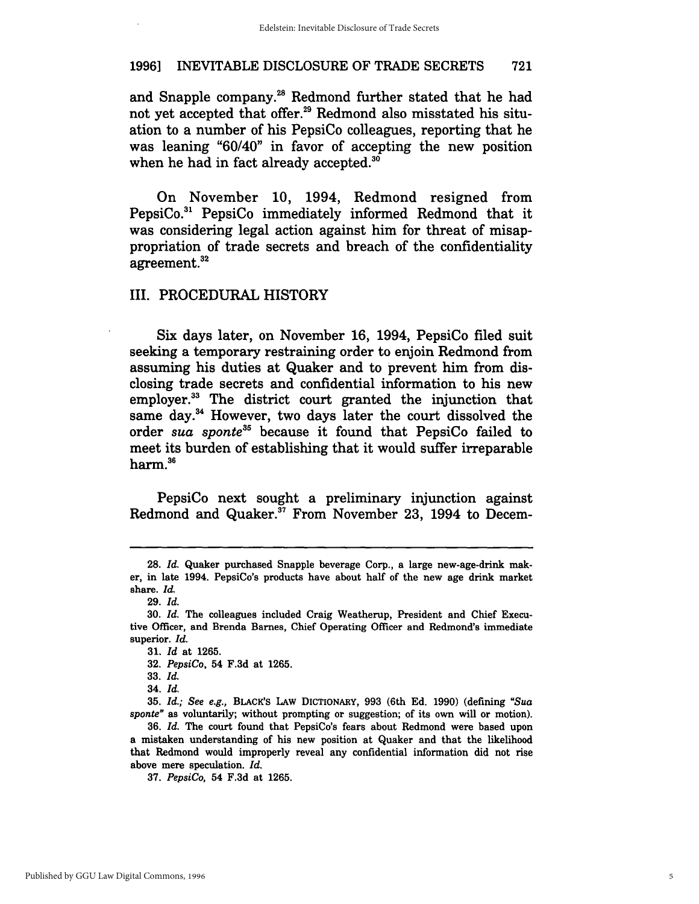and Snapple company.<sup>28</sup> Redmond further stated that he had not yet accepted that offer.<sup>29</sup> Redmond also misstated his situation to a number of his PepsiCo colleagues, reporting that he was leaning "60/40" in favor of accepting the new position when he had in fact already accepted.<sup>30</sup>

On November 10, 1994, Redmond resigned from PepsiCo.31 PepsiCo immediately informed Redmond that it was considering legal action against him for threat of misappropriation of trade secrets and breach of the confidentiality agreement.<sup>32</sup>

#### III. PROCEDURAL HISTORY

Six days later, on November 16, 1994, PepsiCo filed suit seeking a temporary restraining order to enjoin Redmond from assuming his duties at Quaker and to prevent him from disclosing trade secrets and confidential information to his new employer.33 The district court granted the injunction that same day.34 However, two days later the court dissolved the order *sua sponte35* because it found that PepsiCo failed to meet its burden of establishing that it would suffer irreparable harm.3s

PepsiCo next sought a preliminary injunction against Redmond and Quaker.<sup>37</sup> From November 23, 1994 to Decem-

*<sup>28.</sup> Id.* Quaker purchased Snapple beverage Corp., a large new-age-drink maker, in late 1994. PepsiCo's products have about half of the new age drink market share. *Id.* 

<sup>29.</sup> *Id.* 

*<sup>30.</sup> Id.* The colleagues included Craig Weatherup, President and Chief Executive Officer, and Brenda Barnes, Chief Operating Officer and Redmond's immediate superior. *Id.* 

*<sup>31.</sup> Id* at 1265.

*<sup>32.</sup> PepsiCo,* 54 F.3d at 1265.

*<sup>33.</sup>Id.* 

*<sup>34.</sup>Id.* 

*<sup>35.</sup> Id.; See e.g.,* BLACK'S LAw DICTIONARY, 993 (6th Ed. 1990) (defining *"Sua sponte"* as voluntarily; without prompting or suggestion; of its own will or motion).

*<sup>36.</sup> Id.* The court found that PepsiCo's fears about Redmond were based upon a mistaken understanding of his new position at Quaker and that the likelihood that Redmond would improperly reveal any confidential information did not rise above mere speculation. *Id.* 

*<sup>37.</sup> PepsiCo,* 54 F.3d at 1265.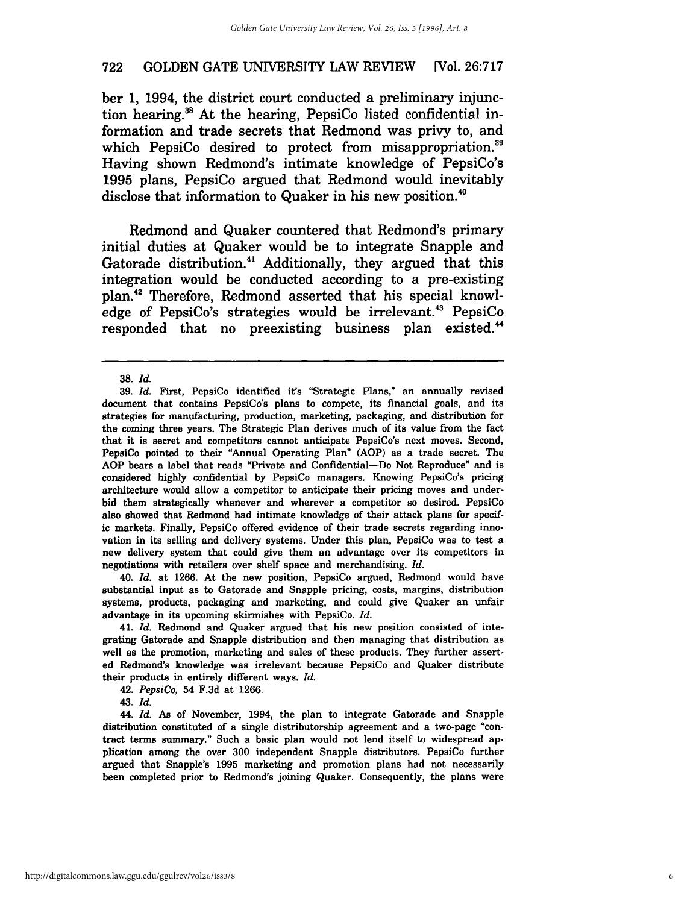ber 1, 1994, the district court conducted a preliminary injunction hearing. 3s At the hearing, PepsiCo listed confidential information and trade secrets that Redmond was privy to, and which PepsiCo desired to protect from misappropriation.<sup>39</sup> Having shown Redmond's intimate knowledge of PepsiCo's 1995 plans, PepsiCo argued that Redmond would inevitably disclose that information to Quaker in his new position.<sup>40</sup>

Redmond and Quaker countered that Redmond's primary initial duties at Quaker would be to integrate Snapple and Gatorade distribution.<sup>41</sup> Additionally, they argued that this integration would be conducted according to a pre-existing plan.42 Therefore, Redmond asserted that his special knowledge of PepsiCo's strategies would be irrelevant.<sup>43</sup> PepsiCo responded that no preexisting business plan existed.<sup>44</sup>

40. Id. at 1266. At the new position, PepsiCo argued, Redmond would have substantial input as to Gatorade and Snapple pricing, costs, margins, distribution systems, products, packaging and marketing, and could give Quaker an unfair advantage in its upcoming skirmishes with PepsiCo. Id.

41. Id. Redmond and Quaker argued that his new position consisted of integrating Gatorade and Snapple distribution and then managing that distribution as well as the promotion, marketing and sales of these products. They further asserted Redmond's knowledge was irrelevant because PepsiCo and Quaker distribute their products in entirely different ways.  $Id$ .

*42. PepsiCo,* 54 F.3d at 1266.

43. [d.

*44. [d.* As of November, 1994, the plan to integrate Gatorade and Snapple distribution constituted of a single distributorship agreement and a two-page "contract terms summary." Such a basic plan would not lend itself to widespread application among the over 300 independent Snapple distributors. PepsiCo further argued that Snapple's 1995 marketing and promotion plans had not necessarily been completed prior to Redmond's joining Quaker. Consequently, the plans were

*<sup>38. [</sup>d.* 

<sup>39.</sup> Id. First, PepsiCo identified it's "Strategic Plans," an annually revised document that contains PepsiCo's plans to compete, its financial goals, and its strategies for manufacturing, production, marketing, packaging, and distribution for the coming three years. The Strategic Plan derives much of its value from the fact that it is secret and competitors cannot anticipate PepsiCo's next moves. Second, PepsiCo pointed to their "Annual Operating Plan" (AOP) as a trade secret. The AOP bears a label that reads "Private and Confidential-Do Not Reproduce" and is considered highly confidential by PepsiCo managers. Knowing PepsiCo's pricing architecture would allow a competitor to anticipate their pricing moves and underbid them strategically whenever and wherever a competitor so desired. PepsiCo also showed that Redmond had intimate knowledge of their attack plans for specific markets. Finally, PepsiCo offered evidence of their trade secrets regarding innovation in its selling and delivery systems. Under this plan, PepsiCo was to test a new delivery system that could give them an advantage over its competitors in negotiations with retailers over shelf space and merchandising.  $Id$ .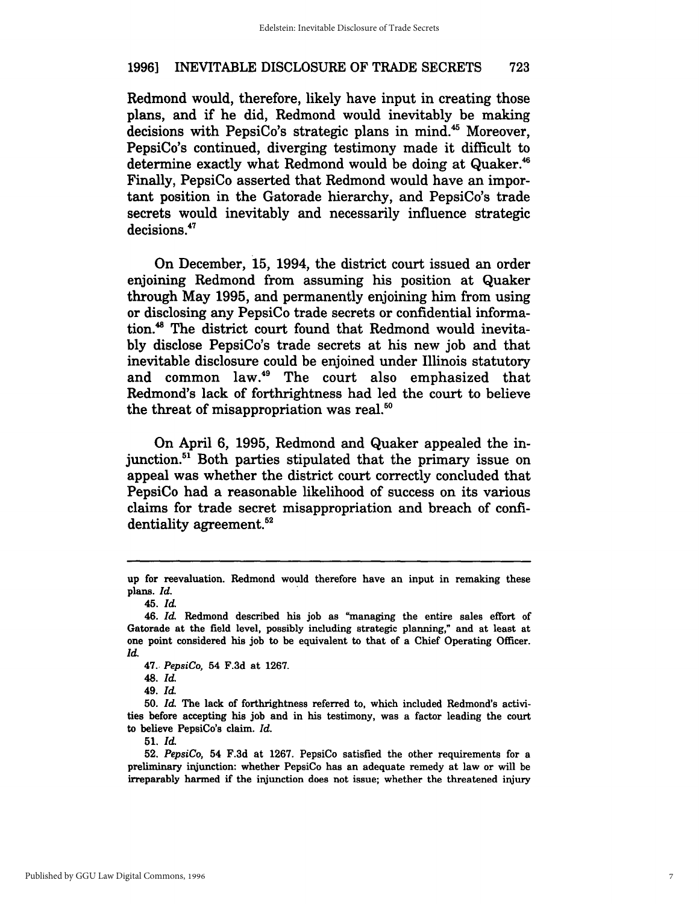Redmond would, therefore, likely have input in creating those plans, and if he did, Redmond would inevitably be making decisions with PepsiCo's strategic plans in mind.<sup>45</sup> Moreover, PepsiCo's continued, diverging testimony made it difficult to determine exactly what Redmond would be doing at Quaker.<sup>46</sup> Finally, PepsiCo asserted that Redmond would have an important position in the Gatorade hierarchy, and PepsiCo's trade secrets would inevitably and necessarily influence strategic decisions.<sup>47</sup>

On December, 15, 1994, the district court issued an order enjoining Redmond from assuming his position at Quaker through May 1995, and permanently enjoining him from using or disclosing any PepsiCo trade secrets or confidential information.<sup>48</sup> The district court found that Redmond would inevitably disclose PepsiCo's trade secrets at his new job and that inevitable disclosure could be enjoined under Illinois statutory and common law.<sup>49</sup> The court also emphasized that Redmond's lack of forthrightness had led the court to believe the threat of misappropriation was real. $50$ 

On April 6, 1995, Redmond and Quaker appealed the injunction.51 Both parties stipulated that the primary issue on appeal was whether the district court correctly concluded that PepsiCo had a reasonable likelihood of success on its various claims for trade secret misappropriation and breach of confidentiality agreement.<sup>52</sup>

up for reevaluation. Redmond would therefore have an input in remaking these plans. *Id.* 

*<sup>45.</sup>Id.* 

*<sup>46.</sup> Id.* Redmond described his job as "managing the entire sales effort of Gatorade at the field level, possibly including strategic planning," and at least at one point considered his job to be equivalent to that of a Chief Operating Officer. *Id.* 

*<sup>47.</sup> PepsiCo,* 54 F.3d at 1267.

*<sup>48.</sup> Id.* 

*<sup>49.</sup>Id.* 

*<sup>50.</sup> Id.* The lack of forthrightness referred to, which included Redmond's activities before accepting his job and in his testimony, was a factor leading the court to believe PepsiCo's claim. *Id.* 

<sup>51.</sup> *Id.* 

*<sup>52.</sup> PepsiCo,* 54 F.3d at 1267. PepsiCo satisfied the other requirements for a preliminary injunction: whether PepsiCo has an adequate remedy at law or will be irreparably harmed if the injunction does not issue; whether the threatened injury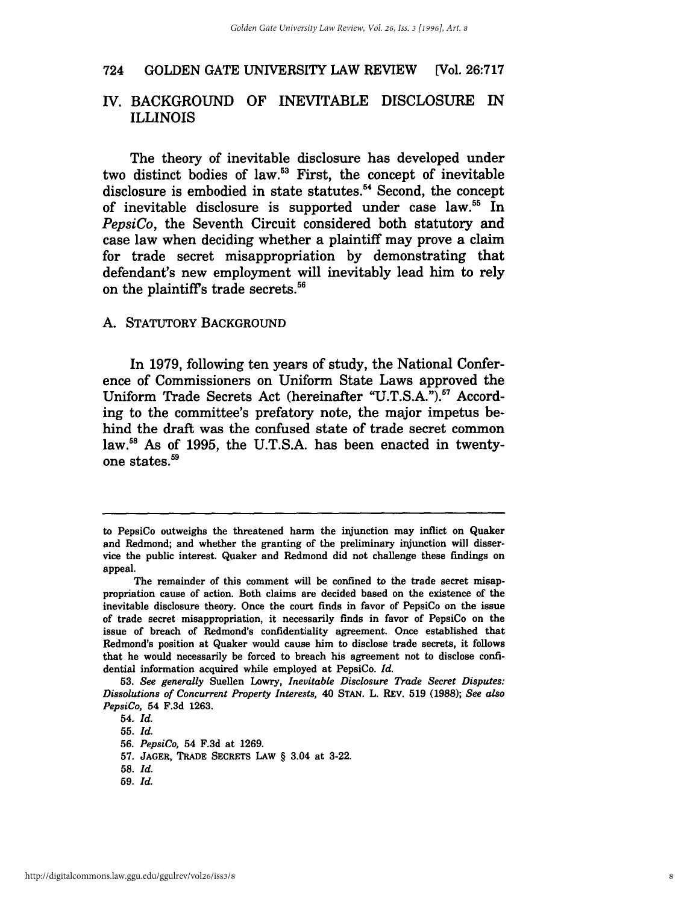#### *N.* BACKGROUND OF INEVITABLE DISCLOSURE IN ILLINOIS

The theory of inevitable disclosure has developed under two distinct bodies of law.<sup>53</sup> First, the concept of inevitable disclosure is embodied in state statutes.<sup>54</sup> Second, the concept of inevitable disclosure is supported under case law.<sup>55</sup> In *PepsiCo,* the Seventh Circuit considered both statutory and case law when deciding whether a plaintiff may prove a claim for trade secret misappropriation by demonstrating that defendant's new employment will inevitably lead him to rely on the plaintiffs trade secrets. 56

#### A. STATUTORY BACKGROUND

In 1979, following ten years of study, the National Conference of Commissioners on Uniform State Laws approved the Uniform Trade Secrets Act (hereinafter "U.T.S.A.").<sup>57</sup> According to the committee's prefatory note, the major impetus behind the draft was the confused state of trade secret common law.58 As of 1995, the U.T.S.A. has been enacted in twentyone states. 59

*54.Id.* 

*55.Id.* 

*56. PepsiCo,* 54 F.3d at 1269.

57. JAGER, TRADE SECRETS LAw § 3.04 at 3-22.

- *58. Id.*
- *59. [d.*

to PepsiCo outweighs the threatened hann the injunction may inflict on Quaker and Redmond; and whether the granting of the preliminary injunction will disservice the public interest. Quaker and Redmond did not challenge these findings on appeal.

The remainder of this comment will be confined to the trade secret misappropriation cause of action. Both claims are decided based on the existence of the inevitable disclosure theory. Once the court finds in favor of PepsiCo on the issue of trade secret misappropriation, it necessarily finds in favor of PepsiCo on the issue of breach of Redmond's confidentiality agreement. Once established that Redmond's position at Quaker would cause him to disclose trade secrets, it follows that he would necessarily be forced to breach his agreement not to disclose confidential information acquired while employed at PepsiCo. *Id.* 

*<sup>53.</sup> See generally* Suellen Lowry, *Inevitable Disclosure Trade Secret Disputes: Dissolutions of Concurrent Property Interests,* 40 STAN. L. REv. 519 (1988); *See also PepsiCo,* 54 F.3d 1263.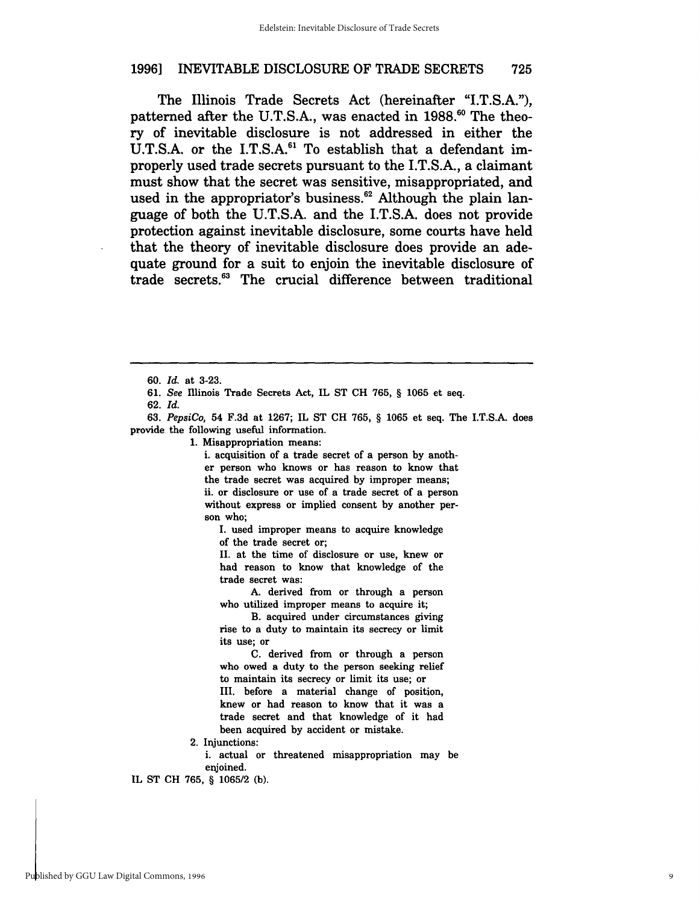The Illinois Trade Secrets Act (hereinafter "LT.S.A."), patterned after the U.T.S.A., was enacted in 1988.<sup>60</sup> The theory of inevitable disclosure is not addressed in either the U.T.S.A. or the I.T.S.A.<sup>61</sup> To establish that a defendant improperly used trade secrets pursuant to the LT.S.A., a claimant must show that the secret was sensitive, misappropriated, and used in the appropriator's business.<sup>62</sup> Although the plain language of both the D.T.S.A. and the I.T.S.A. does not provide protection against inevitable disclosure, some courts have held that the theory of inevitable disclosure does provide an adequate ground for a suit to enjoin the inevitable disclosure of trade secrets.63 The crucial difference between traditional

*62. [d.* 

*63. PepsiCo,* 54 F.3d at 1267; IL ST CH 765, § 1065 et seq. The I.T.S.A. does provide the following useful information.

1. Misappropriation means:

i. acquisition of a trade secret of a person by another person who knows or has reason to know that the trade secret was acquired by improper means; ii. or disclosure or use of a trade secret of a person without express or implied consent by another person who;

I. used improper means to acquire knowledge of the trade secret or;

II. at the time of disclosure or use, knew or had reason to know that knowledge of the trade secret was:

A. derived from or through a person who utilized improper means to acquire it;

B. acquired under circumstances giving rise to a duty to maintain its secrecy or limit its use; or

C. derived from or through a person who owed a duty to the person seeking relief to maintain its secrecy or limit its use; or III. before a material change of position, knew or had reason to know that it was a trade secret and that knowledge of it had been acquired by accident or mistake.

2. Injunctions:

i. actual or threatened misappropriation may be enjoined.

IL ST CH 765, § *1065/2* (b).

*<sup>60. [</sup>d.* at 3-23.

*<sup>61.</sup> See* Illinois Trade Secrets Act, IL ST CH 765, § 1065 et seq.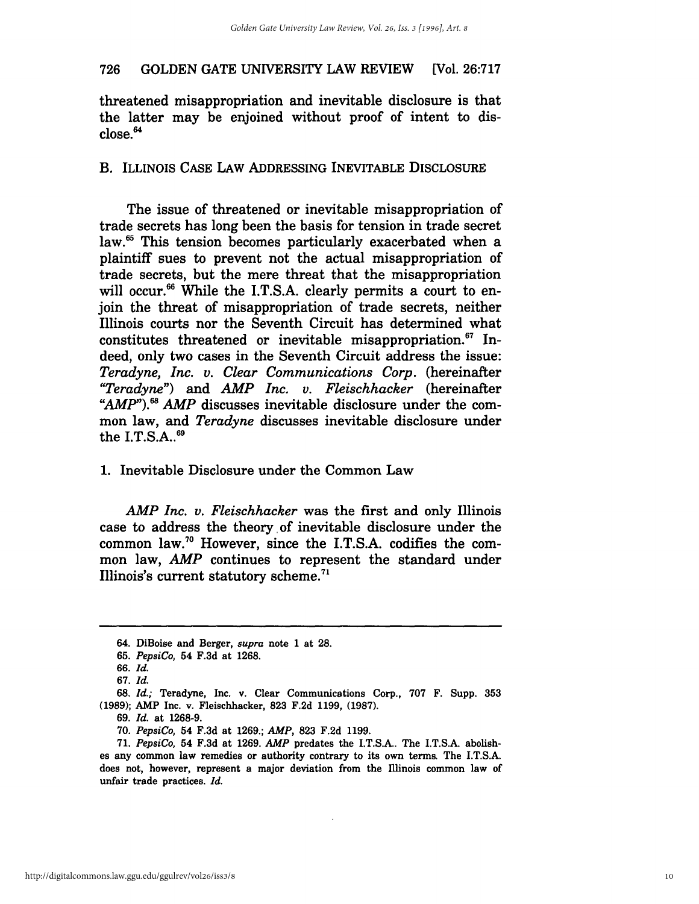threatened misappropriation and inevitable disclosure is that the latter may be enjoined without proof of intent to dis $close<sup>64</sup>$ 

#### B. ILLINOIS CASE LAw ADDRESSING INEVITABLE DISCLOSURE

The issue of threatened or inevitable misappropriation of trade secrets has long been the basis for tension in trade secret law.<sup>65</sup> This tension becomes particularly exacerbated when a plaintiff sues to prevent not the actual misappropriation of trade secrets, but the mere threat that the misappropriation will occur.<sup>66</sup> While the I.T.S.A. clearly permits a court to enjoin the threat of misappropriation of trade secrets, neither Illinois courts nor the Seventh Circuit has determined what constitutes threatened or inevitable misappropriation. $67$  Indeed, only two cases in the Seventh Circuit address the issue: *Teradyne, Inc. v. Clear Communications Corp.* (hereinafter *"Teradyne")* and *AMP Inc. v. Fleischhacker* (hereinafter "*AMP*").<sup>68</sup> *AMP* discusses inevitable disclosure under the common law, and *Teradyne* discusses inevitable disclosure under the I.T.S.A..<sup>69</sup>

#### 1. Inevitable Disclosure under the Common Law

*AMP Inc. v. Fleischhacker* was the first and only Illinois case to address the theory, of inevitable disclosure under the common law.70 However, since the I.T.S.A. codifies the common law, *AMP* continues to represent the standard under Illinois's current statutory scheme.<sup>71</sup>

69. *Id.* at 1268-9.

<sup>64.</sup> DiBoise and Berger, *supra* note 1 at 28.

*<sup>65.</sup> PepsiCo,* 54 F.3d at 1268.

*<sup>66.</sup> Id.* 

*<sup>67.</sup> Id.* 

<sup>68.</sup> *Id.;* Teradyne, Inc. v. Clear Communications Corp., 707 F. Supp. 353 (1989); AMP Inc. v. Fleischhacker, 823 F.2d 1199, (1987).

*<sup>70.</sup> PepsiCo,* 54 F.3d at 1269.; *AMP,* 823 F.2d 1199.

<sup>71.</sup> *PepsiCo,* 54 F.3d at 1269. *AMP* predates the I.T.S.A.. The I.T.S.A. abolishes any common law remedies or authority contrary to its own terms. The I.T.S.A. does not, however, represent a major deviation from the Illinois common law of unfair trade practices. *Id.*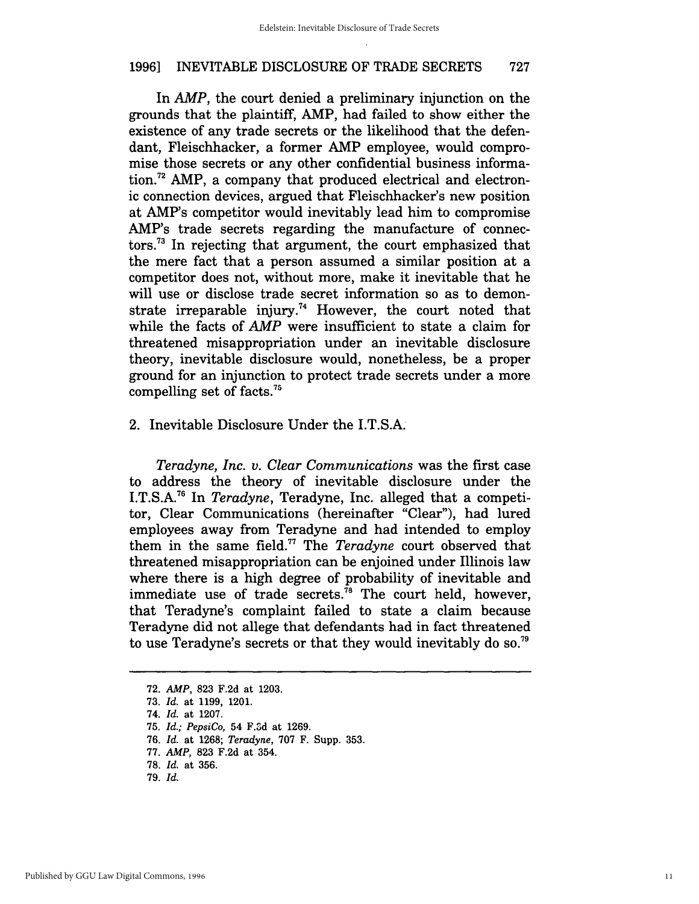In *AMP*, the court denied a preliminary injunction on the grounds that the plaintiff, AMP, had failed to show either the existence of any trade secrets or the likelihood that the defendant, Fleischhacker, a former AMP employee, would compromise those secrets or any other confidential business information.<sup>72</sup> AMP, a company that produced electrical and electronic connection devices, argued that Fleischhacker's new position at AMP's competitor would inevitably lead him to compromise AMP's trade secrets regarding the manufacture of connectors.73 In rejecting that argument, the court emphasized that the mere fact that a person assumed a similar position at a competitor does not, without more, make it inevitable that he will use or disclose trade secret information so as to demonstrate irreparable injury.<sup>74</sup> However, the court noted that while the facts of *AMP* were insufficient to state a claim for threatened misappropriation under an inevitable disclosure theory, inevitable disclosure would, nonetheless, be a proper ground for an injunction to protect trade secrets under a more compelling set of facts.75

#### 2. Inevitable Disclosure Under the I.T.S.A.

*Teradyne, Inc. v. Clear Communications* was the first case to address the theory of inevitable disclosure under the I.T.S.A.76 In *Teradyne,* Teradyne, Inc. alleged that a competitor, Clear Communications (hereinafter "Clear"), had lured employees away from Teradyne and had intended to employ them in the same field.<sup>77</sup> The *Teradyne* court observed that threatened misappropriation can be enjoined under Illinois law where there is a high degree of probability of inevitable and immediate use of trade secrets. $^{78}$  The court held, however, that Teradyne's complaint failed to state a claim because Teradyne did not allege that defendants had in fact threatened to use Teradyne's secrets or that they would inevitably do so.<sup>79</sup>

<sup>72.</sup> AMP, 823 F.2d at 1203.

*<sup>73. [</sup>d.* at 1199, 1201.

<sup>74.</sup> *Id.* at 1207.

*<sup>75. [</sup>d.; PepsiCo,* 54 F.3d at 1269.

<sup>76. [</sup>d. at 1268; *Teradyne,* 707 F. Supp. 353.

<sup>77.</sup> AMP, 823 F.2d at 354.

<sup>78.</sup> Id. at 356.

<sup>79. [</sup>d.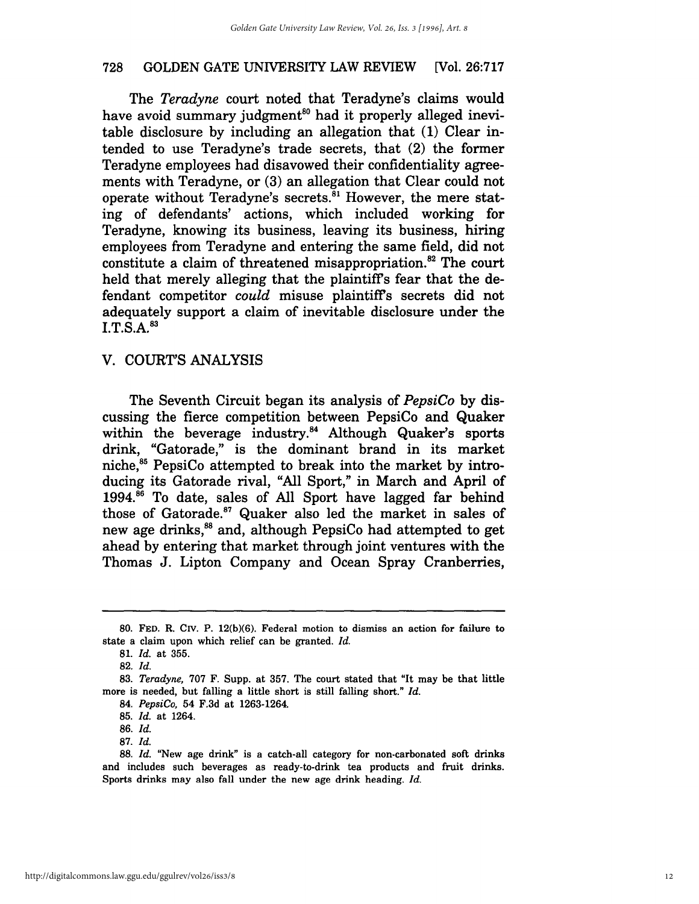The *Teradyne* court noted that Teradyne's claims would have avoid summary judgment<sup>80</sup> had it properly alleged inevitable disclosure by including an allegation that (1) Clear intended to use Teradyne's trade secrets, that (2) the former Teradyne employees had disavowed their confidentiality agreements with Teradyne, or (3) an allegation that Clear could not operate without Teradyne's secrets.<sup>81</sup> However, the mere stating of defendants' actions, which included working for Teradyne, knowing its business, leaving its business, hiring employees from Teradyne and entering the same field, did not constitute a claim of threatened misappropriation.<sup>82</sup> The court held that merely alleging that the plaintiff's fear that the defendant competitor *could* misuse plaintiff's secrets did not adequately support a claim of inevitable disclosure under the  $I.T.S.A.<sup>83</sup>$ 

#### v. COURT'S ANALYSIS

The Seventh Circuit began its analysis of *PepsiCo* by discussing the fierce competition between PepsiCo and Quaker within the beverage industry.<sup>84</sup> Although Quaker's sports drink, "Gatorade," is the dominant brand in its market niche,<sup>85</sup> PepsiCo attempted to break into the market by introducing its Gatorade rival, "All Sport," in March and April of  $1994.<sup>86</sup>$  To date, sales of All Sport have lagged far behind those of Gatorade.<sup>87</sup> Quaker also led the market in sales of new age drinks,<sup>88</sup> and, although PepsiCo had attempted to get ahead by entering that market through joint ventures with the Thomas J. Lipton Company and Ocean Spray Cranberries,

<sup>80.</sup> FED. R. CIV. P. 12(b)(6). Federal motion to dismiss an action for failure to state a claim upon which relief can be granted. *Id.* 

*<sup>81.</sup> Id.* at 355.

*<sup>82.</sup>Id.* 

*<sup>83.</sup> Teradyne,* 707 F. Supp. at 357. The court stated that "It may be that little more is needed, but falling a little short is still falling short." *Id.* 

*<sup>84.</sup> PepsiCo,* 54 F.3d at 1263-1264.

*<sup>85.</sup> Id.* at 1264.

*<sup>86.</sup>Id.* 

*<sup>87.</sup> Id.* 

*<sup>88.</sup> Id.* "New age drink" is a catch-all category for non-carbonated soft drinks and includes such beverages as ready-to-drink tea products and fruit drinks. Sports drinks may also fall under the new age drink heading. *Id.*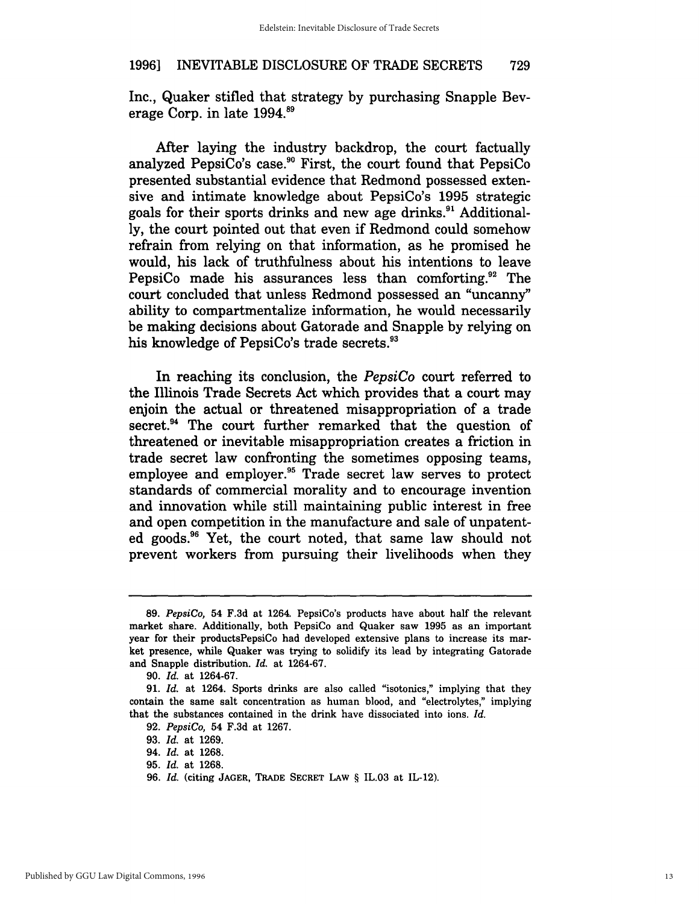Inc., Quaker stifled that strategy by purchasing Snapple Beverage Corp. in late 1994.<sup>89</sup>

After laying the industry backdrop, the court factually analyzed PepsiCo's case.<sup>90</sup> First, the court found that PepsiCo presented substantial evidence that Redmond possessed extensive and intimate knowledge about PepsiCo's 1995 strategic goals for their sports drinks and new age drinks.<sup>91</sup> Additionally, the court pointed out that even if Redmond could somehow refrain from relying on that information, as he promised he would, his lack of truthfulness about his intentions to leave PepsiCo made his assurances less than comforting.<sup>92</sup> The court concluded that unless Redmond possessed an "uncanny" ability to compartmentalize information, he would necessarily be making decisions about Gatorade and Snapple by relying on his knowledge of PepsiCo's trade secrets.<sup>93</sup>

In reaching its conclusion, the *PepsiCo* court referred to the Illinois Trade Secrets Act which provides that a court may enjoin the actual or threatened misappropriation of a trade secret.<sup>94</sup> The court further remarked that the question of threatened or inevitable misappropriation creates a friction in trade secret law confronting the sometimes opposing teams, employee and employer.95 Trade secret law serves to protect standards of commercial morality and to encourage invention and innovation while still maintaining public interest in free and open competition in the manufacture and sale of unpatented goods.96 Yet, the court noted, that same law should not prevent workers from pursuing their livelihoods when they

*<sup>89.</sup> PepsiCo,* 54 F.3d at 1264. PepsiCo's products have about half the relevant market share. Additionally, both PepsiCo and Quaker saw 1995 as an important year for their productsPepsiCo had developed extensive plans to increase its market presence, while Quaker was trying to solidify its lead by integrating Gatorade and Snapple distribution. *Id.* at 1264-67.

*<sup>90.</sup> Id.* at 1264-67.

<sup>91.</sup> *Id.* at 1264. Sports drinks are also called "isotonics," implying that they contain the same salt concentration as human blood, and "electrolytes," implying that the substances contained in the drink have dissociated into ions. *Id.* 

*<sup>92.</sup> PepsiCo,* 54 F.3d at 1267.

<sup>93.</sup> *Id.* at 1269.

<sup>94.</sup> *Id.* at 1268.

<sup>95.</sup> *Id.* at 1268.

<sup>96.</sup> *Id.* (citing JAGER, TRADE SECRET LAw § IL.03 at IL-12).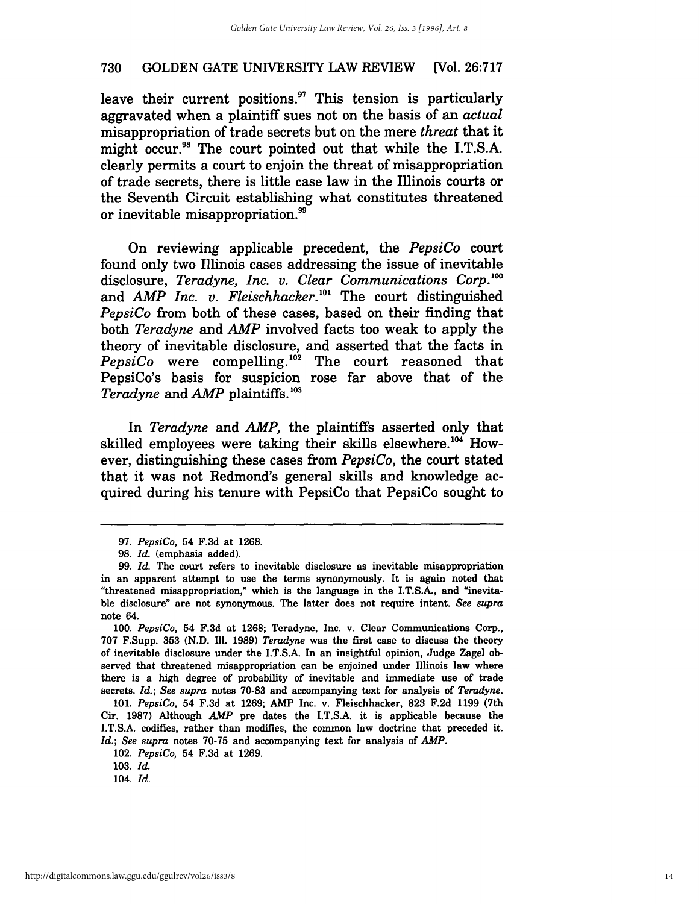leave their current positions. $97$  This tension is particularly aggravated when a plaintiff sues not on the basis of an *actual*  misappropriation of trade secrets but on the mere *threat* that it might occur.<sup>98</sup> The court pointed out that while the I.T.S.A. clearly permits a court to enjoin the threat of misappropriation of trade secrets, there is little case law in the Illinois courts or the Seventh Circuit establishing what constitutes threatened or inevitable misappropriation.<sup>99</sup>

On reviewing applicable precedent, the *PepsiCo* court found only two Illinois cases addressing the issue of inevitable disclosure, *Teradyne, Inc. v. Clear Communications Corp.*<sup>100</sup> and *AMP Inc. v. Fleischhacker*.<sup>101</sup> The court distinguished *PepsiCo* from both of these cases, based on their finding that both *Teradyne* and *AMP* involved facts too weak to apply the theory of inevitable disclosure, and asserted that the facts in *PepsiCo* were compelling. 102 The court reasoned that PepsiCo's basis for suspicion rose far above that of the *Teradyne* and *AMP* plaintiffs. 103

In *Teradyne* and *AMP,* the plaintiffs asserted only that skilled employees were taking their skills elsewhere.<sup>104</sup> However, distinguishing these cases from *PepsiCo,* the court stated that it was not Redmond's general skills and knowledge acquired during his tenure with PepsiCo that PepsiCo sought to

*<sup>97.</sup> PepsiCo,* 54 F.3d at 1268.

<sup>98.</sup> Id. (emphasis added).

*<sup>99. [</sup>d.* The court refers to inevitable disclosure as inevitable misappropriation in an apparent attempt to use the terms synonymously. It is again noted that "threatened misappropriation," which is the language in the I.T.S.A., and "inevitable disclosure" are not synonymous. The latter does not require intent. *See supra*  note 64.

*<sup>100.</sup> PepsiCo,* 54 F.3d at 1268; Teradyne, Inc. v. Clear Communications Corp., 707 F.Supp. 353 (N.D. Ill. 1989) *Teradyne* was the first case to discuss the theory of inevitable disclosure under the I.T.S.A. In an insightful opinion, Judge Zagel observed that threatened misappropriation can be enjoined under Illinois law where there is a high degree of probability of inevitable and immediate use of trade secrets. *[d.; See supra* notes 70-83 and accompanying text for analysis of *Teradyne.* 

*<sup>101.</sup> PepsiCo,* 54 F.3d at 1269; AMP Inc. v. Fleischhacker, 823 F.2d 1199 (7th Cir. 1987) Although *AMP* pre dates the I.T.S.A. it is applicable because the I.T.S.A. codifies, rather than modifies, the common law doctrine that preceded it. *[d.; See supra* notes 70-75 and accompanying text for analysis of *AMP.* 

*<sup>102.</sup> PepsiCo,* 54 F.3d at 1269.

*<sup>103.</sup>* [d.

*<sup>104. [</sup>d.*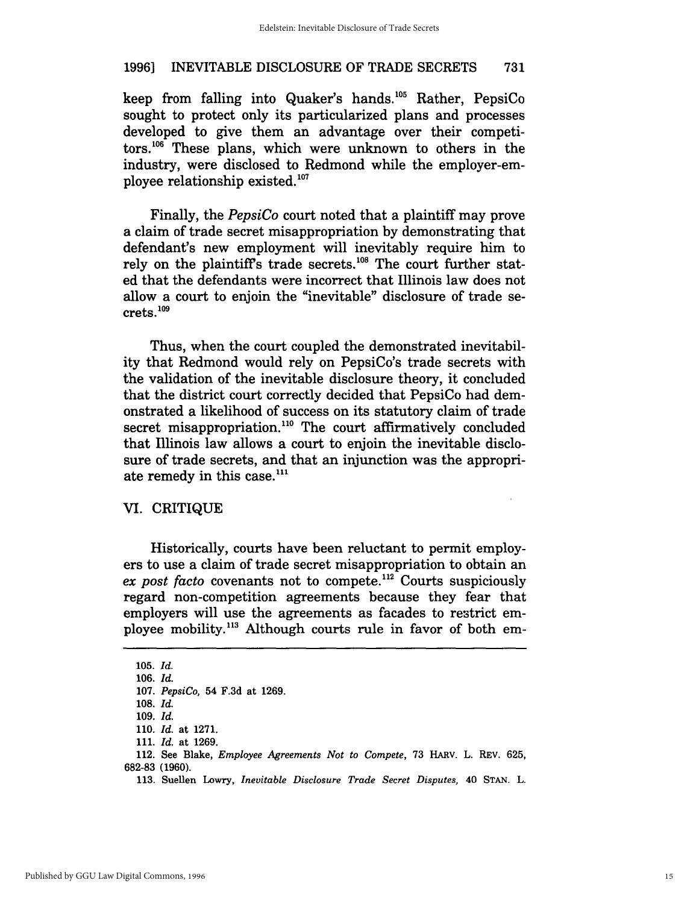keep from falling into Quaker's hands. 105 Rather, PepsiCo sought to protect only its particularized plans and processes developed to give them an advantage over their competitors. 106 These plans, which were unknown to others in the industry, were disclosed to Redmond while the employer-employee relationship existed. $107$ 

Finally, the *PepsiCo* court noted that a plaintiff may prove a claim of trade secret misappropriation by demonstrating that defendant's new employment will inevitably require him to rely on the plaintiff's trade secrets.<sup>108</sup> The court further stated that the defendants were incorrect that Illinois law does not allow a court to enjoin the "inevitable" disclosure of trade secrets.109

Thus, when the court coupled the demonstrated inevitability that Redmond would rely on PepsiCo's trade secrets with the validation of the inevitable disclosure theory, it concluded that the district court correctly decided that PepsiCo had demonstrated a likelihood of success on its statutory claim of trade secret misappropriation.<sup>110</sup> The court affirmatively concluded that Illinois law allows a court to enjoin the inevitable disclosure of trade secrets, and that an injunction was the appropriate remedy in this case.<sup>111</sup>

#### VI. CRITIQUE

Historically, courts have been reluctant to permit employers to use a claim of trade secret misappropriation to obtain an *ex post facto* covenants not to compete.112 Courts suspiciously regard non-competition agreements because they fear that employers will use the agreements as facades to restrict employee mobility.113 Although courts rule in favor of both em-

*<sup>105.</sup> Id. 106. Id. 107. PepsiCo,* 54 F.3d at 1269. *108. Id. 109. Id.*  110. *Id.* at 1271. 111. *Id.* at 1269. 112. See Blake, *Employee Agreements Not to Compete,* 73 HARv. L. REV. 625, 682-83 (1960). 113. Suellen Lowry, *Inevitable Disclosure Trade Secret Disputes,* 40 STAN. L.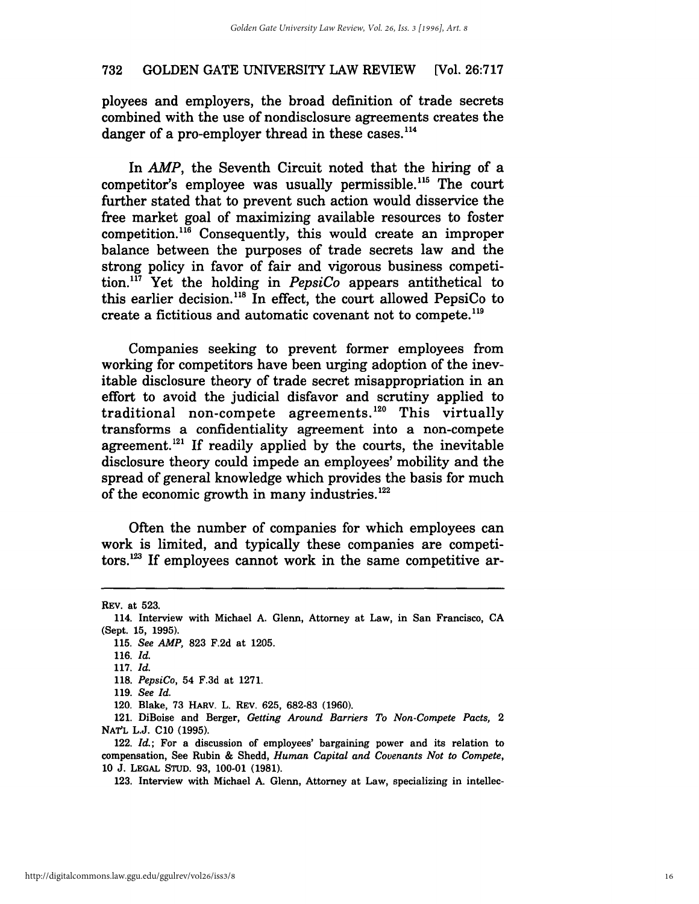ployees and employers, the broad definition of trade secrets combined with the use of nondisclosure agreements creates the danger of a pro-employer thread in these cases.<sup>114</sup>

In AMP, the Seventh Circuit noted that the hiring of a competitor's employee was usually permissible.<sup>115</sup> The court further stated that to prevent such action would disservice the free market goal of maximizing available resources to foster  $competition.<sup>116</sup> Consequently, this would create an improper$ balance between the purposes of trade secrets law and the strong policy in favor of fair and vigorous business competition.1l7 Yet the holding in *PepsiCo* appears antithetical to this earlier decision. 11s In effect, the court allowed PepsiCo to create a fictitious and automatic covenant not to compete. <sup>119</sup>

Companies seeking to prevent former employees from working for competitors have been urging adoption of the inevitable disclosure theory of trade secret misappropriation in an effort to avoid the judicial disfavor and scrutiny applied to traditional non-compete agreements. 120 This virtually transforms a confidentiality agreement into a non-compete agreement.<sup>121</sup> If readily applied by the courts, the inevitable disclosure theory could impede an employees' mobility and the spread of general knowledge which provides the basis for much of the economic growth in many industries.<sup>122</sup>

Often the number of companies for which employees can work is limited, and typically these companies are competi $tors$ <sup>123</sup> If employees cannot work in the same competitive ar-

123. Interview with Michael A. Glenn, Attorney at Law, specializing in intellec-

REV. at 523.

<sup>114.</sup> Interview with Michael A. Glenn, Attorney at Law, in San Francisco, CA (Sept. 15, 1995).

*<sup>115.</sup> See AMP,* 823 F.2d at 1205.

*<sup>116.</sup>* [d.

*<sup>117.</sup>* [d.

*<sup>118.</sup> PepsiCo,* 54 F.3d at 1271.

*<sup>119.</sup> See [d.* 

<sup>120.</sup> Blake, 73 HARv. L. REV. 625, 682-83 (1960).

<sup>121.</sup> DiBoise and Berger, *Getting Around Barriers To Non-Compete Pacts, 2*  NAT'L L.J. CI0 (1995).

<sup>122.</sup> Id.; For a discussion of employees' bargaining power and its relation to compensation, See Rubin & Shedd, *Human Capital and Covenants Not to Compete,*  10 J. LEGAL STUD. 93, 100-01 (1981).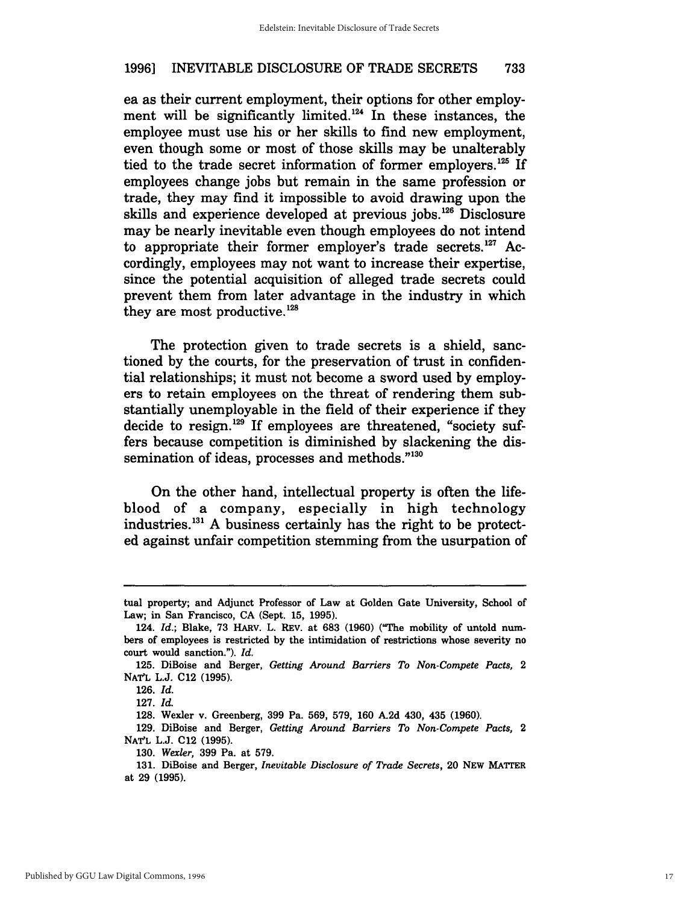ea as their current employment, their options for other employment will be significantly limited.<sup>124</sup> In these instances, the employee must use his or her skills to find new employment, even though some or most of those skills may be unalterably tied to the trade secret information of former employers.<sup>125</sup> If employees change jobs but remain in the same profession or trade, they may find it impossible to avoid drawing upon the skills and experience developed at previous jobs.<sup>126</sup> Disclosure may be nearly inevitable even though employees do not intend to appropriate their former employer's trade secrets. $127$  Accordingly, employees may not want to increase their expertise, since the potential acquisition of alleged trade secrets could prevent them from later advantage in the industry in which they are most productive.<sup>128</sup>

The protection given to trade secrets is a shield, sanctioned by the courts, for the preservation of trust in confidential relationships; it must not become a sword used by employers to retain employees on the threat of rendering them substantially unemployable in the field of their experience if they decide to resign.<sup>129</sup> If employees are threatened, "society suffers because competition is diminished by slackening the dissemination of ideas, processes and methods."<sup>130</sup>

On the other hand, intellectual property is often the lifeblood of a company, especially in high technology industries.131 A business certainly has the right to be protected against unfair competition stemming from the usurpation of

tual property; and Adjunct Professor of Law at Golden Gate University, School of Law; in San Francisco, CA (Sept. 15, 1995).

*<sup>124.</sup> Id.;* Blake, 73 HARv. L. REV. at 683 (1960) ("The mobility of untold numbers of employees is restricted by the intimidation of restrictions whose severity no court would sanction."). *Id.* 

<sup>125.</sup> DiBoise and Berger, *Getting Around Barriers To Non-Compete Pacts,* 2 NATL L.J. C12 (1995).

*<sup>126.</sup> Id.* 

*<sup>127.</sup> Id.* 

<sup>128.</sup> Wexler v. Greenberg, 399 Pa. 569, 579, 160 A,2d 430, 435 (1960).

<sup>129.</sup> DiBoise and Berger, *Getting Around Barriers To Non-Compete Pacts,* 2 NATL L.J. C12 (1995).

*<sup>130.</sup> Wexler,* 399 Pa. at 579.

<sup>131.</sup> DiBoise and Berger, *Inevitable Disclosure of Trade Secrets*, 20 NEW MATTER at 29 (1995).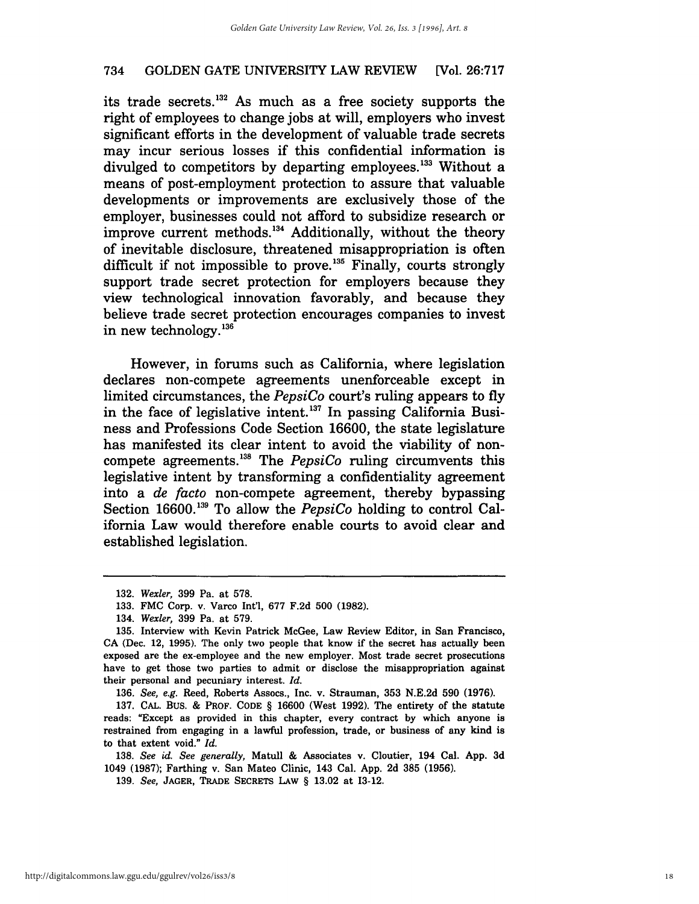its trade secrets.<sup>132</sup> As much as a free society supports the right of employees to change jobs at will, employers who invest significant efforts in the development of valuable trade secrets may incur serious losses if this confidential information is divulged to competitors by departing employees.<sup>133</sup> Without a means of post-employment protection to assure that valuable developments or improvements are exclusively those of the employer, businesses could not afford to subsidize research or improve current methods.<sup>134</sup> Additionally, without the theory of inevitable disclosure, threatened misappropriation is often difficult if not impossible to prove.<sup>135</sup> Finally, courts strongly support trade secret protection for employers because they view technological innovation favorably, and because they believe trade secret protection encourages companies to invest in new technology. 136

However, in forums such as California, where legislation declares non-compete agreements unenforceable except in limited circumstances, the *PepsiCo* court's ruling appears to fly in the face of legislative intent.<sup>137</sup> In passing California Business and Professions Code Section 16600, the state legislature has manifested its clear intent to avoid the viability of noncompete agreements. 13B The *PepsiCo* ruling circumvents this legislative intent by transforming a confidentiality agreement into a *de facto* non-compete agreement, thereby bypassing Section 16600.<sup>139</sup> To allow the *PepsiCo* holding to control California Law would therefore enable courts to avoid clear and established legislation.

*136. See, e.g.* Reed, Roberts Assocs., Inc. v. Strauman, 353 N.E.2d 590 (1976).

*138. See id. See generally,* Matull & Associates v. Cloutier, 194 Cal. App. 3d 1049 (1987); Farthing v. San Mateo Clinic, 143 Cal. App. 2d 385 (1956).

*139. See,* JAGER, TRADE SECRETS LAw § 13.02 at 13-12.

*<sup>132.</sup> Wexler,* 399 Pa. at 578.

<sup>133.</sup> FMC Corp. v. Varco Int'l, 677 F.2d 500 (1982).

*<sup>134.</sup> Wexler,* 399 Pa. at 579.

<sup>135.</sup> Interview with Kevin Patrick McGee, Law Review Editor, in San Francisco, CA (Dec. 12, 1995). The only two people that know if the secret has actually been exposed are the ex-employee and the new employer. Most trade secret prosecutions have to get those two parties to admit or disclose the misappropriation against their personal and pecuniary interest.  $Id$ .

<sup>137.</sup> CAL. BuS. & PROF. CODE § 16600 (West 1992). The entirety of the statute reads: "Except as provided in this chapter, every contract by which anyone is restrained from engaging in a lawful profession, trade, or business of any kind is to that extent void." Id.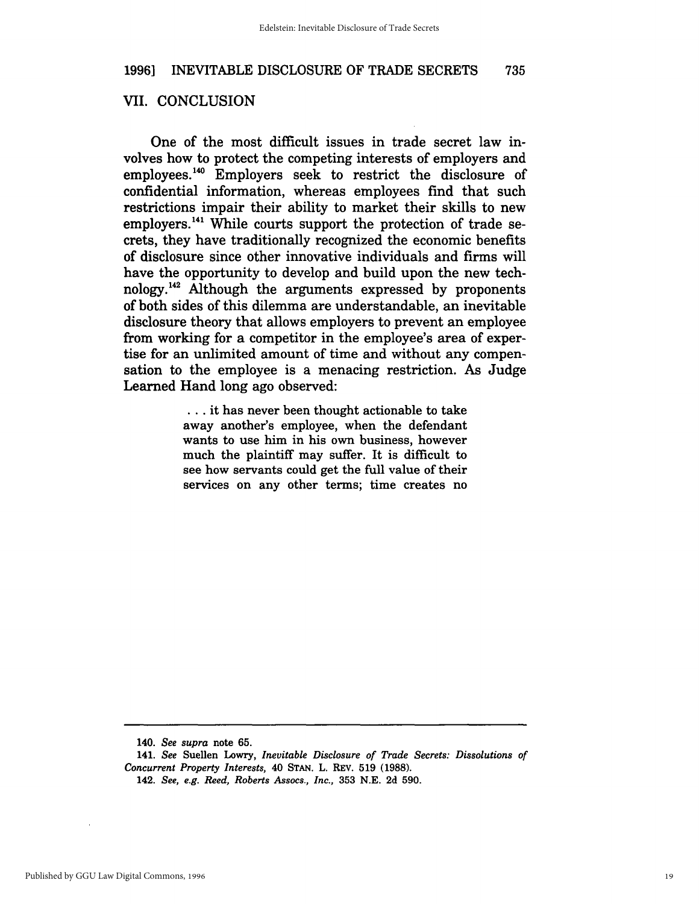#### VII. CONCLUSION

One of the most difficult issues in trade secret law involves how to protect the competing interests of employers and employees.<sup>140</sup> Employers seek to restrict the disclosure of confidential information, whereas employees find that such restrictions impair their ability to market their skills to new employers.<sup>141</sup> While courts support the protection of trade secrets, they have traditionally recognized the economic benefits of disclosure since other innovative individuals and firms will have the opportunity to develop and build upon the new technology.142 Although the arguments expressed by proponents of both sides of this dilemma are understandable, an inevitable disclosure theory that allows employers to prevent an employee from working for a competitor in the employee's area of expertise for an unlimited amount of time and without any compensation to the employee is a menacing restriction. As Judge Learned Hand long ago observed:

> ... it has never been thought actionable to take away another's employee, when the defendant wants to use him in his own business, however much the plaintiff may suffer. It is difficult to see how servants could get the full value of their services on any other terms; time creates no

*<sup>140.</sup> See supra* note 65.

*<sup>141.</sup> See* Suellen Lowry, *Inevitable Disclosure of Trade Secrets: Dissolutions of Concurrent Property Interests,* 40 STAN. L. REV. 519 (1988). *142. See, e.g. Reed, Roberts Assocs., Inc.,* 353 N.E. 2d 590.